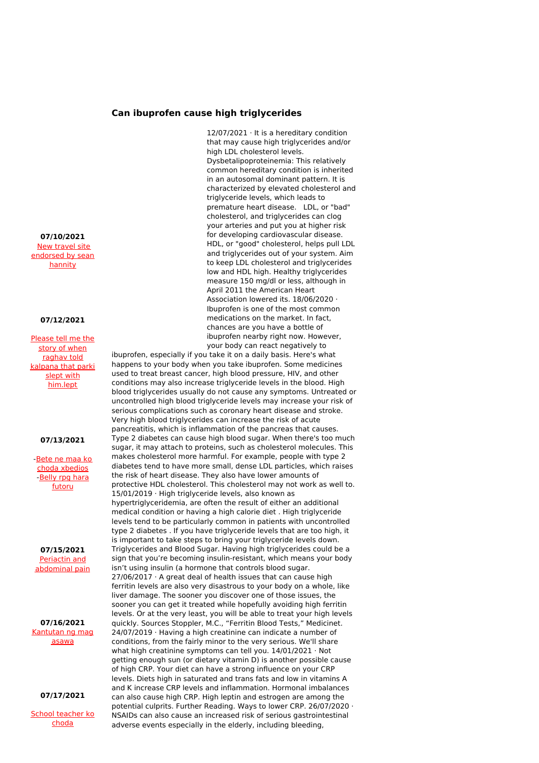## **Can ibuprofen cause high triglycerides**

12/07/2021 · It is a hereditary condition that may cause high triglycerides and/or high LDL cholesterol levels. Dysbetalipoproteinemia: This relatively common hereditary condition is inherited in an autosomal dominant pattern. It is characterized by elevated cholesterol and triglyceride levels, which leads to premature heart disease. LDL, or "bad" cholesterol, and triglycerides can clog your arteries and put you at higher risk for developing cardiovascular disease. HDL, or "good" cholesterol, helps pull LDL and triglycerides out of your system. Aim to keep LDL cholesterol and triglycerides low and HDL high. Healthy triglycerides measure 150 mg/dl or less, although in April 2011 the American Heart Association lowered its. 18/06/2020 · Ibuprofen is one of the most common medications on the market. In fact, chances are you have a bottle of ibuprofen nearby right now. However, your body can react negatively to

ibuprofen, especially if you take it on a daily basis. Here's what happens to your body when you take ibuprofen. Some medicines used to treat breast cancer, high blood pressure, HIV, and other conditions may also increase triglyceride levels in the blood. High blood triglycerides usually do not cause any symptoms. Untreated or uncontrolled high blood triglyceride levels may increase your risk of serious complications such as coronary heart disease and stroke. Very high blood triglycerides can increase the risk of acute pancreatitis, which is inflammation of the pancreas that causes. Type 2 diabetes can cause high blood sugar. When there's too much sugar, it may attach to proteins, such as cholesterol molecules. This makes cholesterol more harmful. For example, people with type 2 diabetes tend to have more small, dense LDL particles, which raises the risk of heart disease. They also have lower amounts of protective HDL cholesterol. This cholesterol may not work as well to. 15/01/2019 · High triglyceride levels, also known as hypertriglyceridemia, are often the result of either an additional medical condition or having a high calorie diet . High triglyceride levels tend to be particularly common in patients with uncontrolled type 2 diabetes . If you have triglyceride levels that are too high, it is important to take steps to bring your triglyceride levels down. Triglycerides and Blood Sugar. Having high triglycerides could be a sign that you're becoming insulin-resistant, which means your body isn't using insulin (a hormone that controls blood sugar.  $27/06/2017 \cdot A$  great deal of health issues that can cause high ferritin levels are also very disastrous to your body on a whole, like liver damage. The sooner you discover one of those issues, the sooner you can get it treated while hopefully avoiding high ferritin levels. Or at the very least, you will be able to treat your high levels quickly. Sources Stoppler, M.C., "Ferritin Blood Tests," Medicinet. 24/07/2019 · Having a high creatinine can indicate a number of conditions, from the fairly minor to the very serious. We'll share what high creatinine symptoms can tell you. 14/01/2021 · Not getting enough sun (or dietary vitamin D) is another possible cause of high CRP. Your diet can have a strong influence on your CRP levels. Diets high in saturated and trans fats and low in vitamins A and K increase CRP levels and inflammation. Hormonal imbalances can also cause high CRP. High leptin and estrogen are among the potential culprits. Further Reading. Ways to lower CRP. 26/07/2020 · NSAIDs can also cause an increased risk of serious gastrointestinal adverse events especially in the elderly, including bleeding,

**07/10/2021** New travel site [endorsed](http://manufakturawakame.pl/lzx) by sean hannity

## **07/12/2021**

Please tell me the story of when raghav told kalpana that parki slept with [him.lept](http://manufakturawakame.pl/153)

## **07/13/2021**

-Bete ne maa ko choda [xbedios](http://manufakturawakame.pl/SR) -Belly rpg hara [futoru](http://bajbe.pl/3S)

**07/15/2021** Periactin and [abdominal](http://bajbe.pl/iv) pain

**07/16/2021** [Kantutan](http://bajbe.pl/y8w) ng mag asawa

**07/17/2021**

School [teacher](http://manufakturawakame.pl/zv) ko choda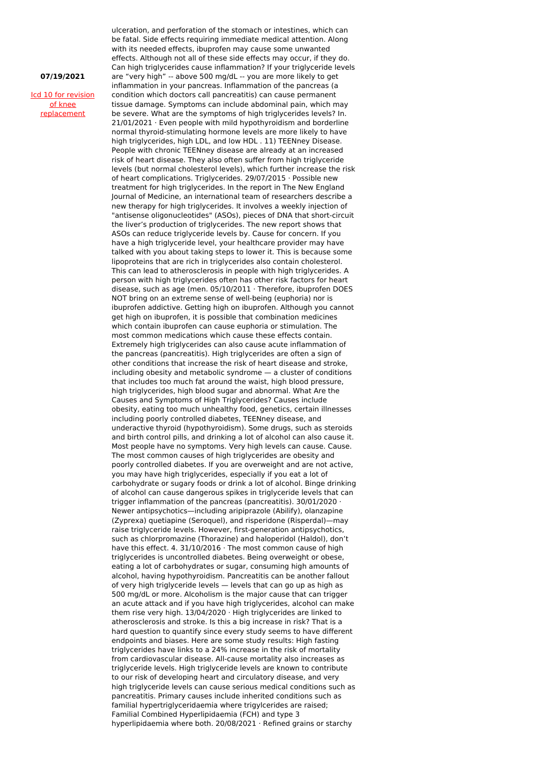## **07/19/2021**

Icd 10 for revision of knee [replacement](http://bajbe.pl/Q8I)

ulceration, and perforation of the stomach or intestines, which can be fatal. Side effects requiring immediate medical attention. Along with its needed effects, ibuprofen may cause some unwanted effects. Although not all of these side effects may occur, if they do. Can high triglycerides cause inflammation? If your triglyceride levels are "very high" -- above 500 mg/dL -- you are more likely to get inflammation in your pancreas. Inflammation of the pancreas (a condition which doctors call pancreatitis) can cause permanent tissue damage. Symptoms can include abdominal pain, which may be severe. What are the symptoms of high triglycerides levels? In. 21/01/2021 · Even people with mild hypothyroidism and borderline normal thyroid-stimulating hormone levels are more likely to have high triglycerides, high LDL, and low HDL . 11) TEENney Disease. People with chronic TEENney disease are already at an increased risk of heart disease. They also often suffer from high triglyceride levels (but normal cholesterol levels), which further increase the risk of heart complications. Triglycerides. 29/07/2015 · Possible new treatment for high triglycerides. In the report in The New England Journal of Medicine, an international team of researchers describe a new therapy for high triglycerides. It involves a weekly injection of "antisense oligonucleotides" (ASOs), pieces of DNA that short-circuit the liver's production of triglycerides. The new report shows that ASOs can reduce triglyceride levels by. Cause for concern. If you have a high triglyceride level, your healthcare provider may have talked with you about taking steps to lower it. This is because some lipoproteins that are rich in triglycerides also contain cholesterol. This can lead to atherosclerosis in people with high triglycerides. A person with high triglycerides often has other risk factors for heart disease, such as age (men. 05/10/2011 · Therefore, ibuprofen DOES NOT bring on an extreme sense of well-being (euphoria) nor is ibuprofen addictive. Getting high on ibuprofen. Although you cannot get high on ibuprofen, it is possible that combination medicines which contain ibuprofen can cause euphoria or stimulation. The most common medications which cause these effects contain. Extremely high triglycerides can also cause acute inflammation of the pancreas (pancreatitis). High triglycerides are often a sign of other conditions that increase the risk of heart disease and stroke, including obesity and metabolic syndrome — a cluster of conditions that includes too much fat around the waist, high blood pressure, high triglycerides, high blood sugar and abnormal. What Are the Causes and Symptoms of High Triglycerides? Causes include obesity, eating too much unhealthy food, genetics, certain illnesses including poorly controlled diabetes, TEENney disease, and underactive thyroid (hypothyroidism). Some drugs, such as steroids and birth control pills, and drinking a lot of alcohol can also cause it. Most people have no symptoms. Very high levels can cause. Cause. The most common causes of high triglycerides are obesity and poorly controlled diabetes. If you are overweight and are not active, you may have high triglycerides, especially if you eat a lot of carbohydrate or sugary foods or drink a lot of alcohol. Binge drinking of alcohol can cause dangerous spikes in triglyceride levels that can trigger inflammation of the pancreas (pancreatitis). 30/01/2020 · Newer antipsychotics—including aripiprazole (Abilify), olanzapine (Zyprexa) quetiapine (Seroquel), and risperidone (Risperdal)—may raise triglyceride levels. However, first-generation antipsychotics, such as chlorpromazine (Thorazine) and haloperidol (Haldol), don't have this effect. 4. 31/10/2016 · The most common cause of high triglycerides is uncontrolled diabetes. Being overweight or obese, eating a lot of carbohydrates or sugar, consuming high amounts of alcohol, having hypothyroidism. Pancreatitis can be another fallout of very high triglyceride levels — levels that can go up as high as 500 mg/dL or more. Alcoholism is the major cause that can trigger an acute attack and if you have high triglycerides, alcohol can make them rise very high.  $13/04/2020 \cdot$  High triglycerides are linked to atherosclerosis and stroke. Is this a big increase in risk? That is a hard question to quantify since every study seems to have different endpoints and biases. Here are some study results: High fasting triglycerides have links to a 24% increase in the risk of mortality from cardiovascular disease. All-cause mortality also increases as triglyceride levels. High triglyceride levels are known to contribute to our risk of developing heart and circulatory disease, and very high triglyceride levels can cause serious medical conditions such as pancreatitis. Primary causes include inherited conditions such as familial hypertriglyceridaemia where trigylcerides are raised; Familial Combined Hyperlipidaemia (FCH) and type 3 hyperlipidaemia where both. 20/08/2021 · Refined grains or starchy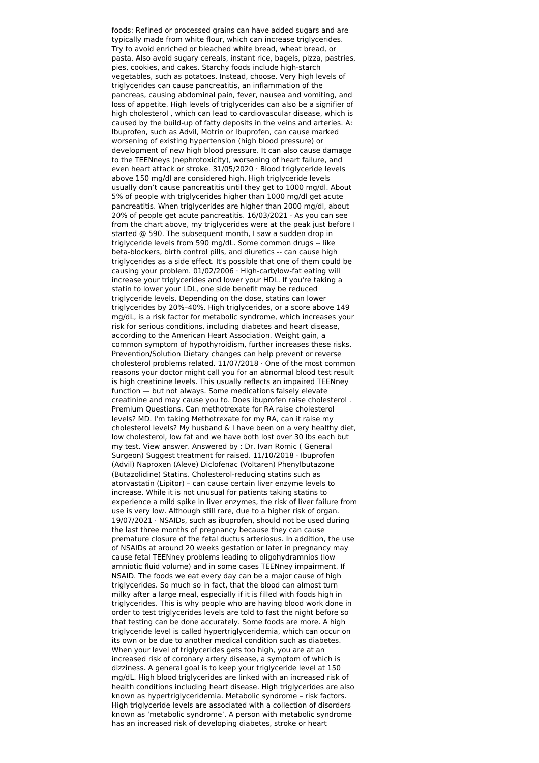foods: Refined or processed grains can have added sugars and are typically made from white flour, which can increase triglycerides. Try to avoid enriched or bleached white bread, wheat bread, or pasta. Also avoid sugary cereals, instant rice, bagels, pizza, pastries, pies, cookies, and cakes. Starchy foods include high-starch vegetables, such as potatoes. Instead, choose. Very high levels of triglycerides can cause pancreatitis, an inflammation of the pancreas, causing abdominal pain, fever, nausea and vomiting, and loss of appetite. High levels of triglycerides can also be a signifier of high cholesterol , which can lead to cardiovascular disease, which is caused by the build-up of fatty deposits in the veins and arteries. A: Ibuprofen, such as Advil, Motrin or Ibuprofen, can cause marked worsening of existing hypertension (high blood pressure) or development of new high blood pressure. It can also cause damage to the TEENneys (nephrotoxicity), worsening of heart failure, and even heart attack or stroke. 31/05/2020 · Blood triglyceride levels above 150 mg/dl are considered high. High triglyceride levels usually don't cause pancreatitis until they get to 1000 mg/dl. About 5% of people with triglycerides higher than 1000 mg/dl get acute pancreatitis. When triglycerides are higher than 2000 mg/dl, about 20% of people get acute pancreatitis.  $16/03/2021 \cdot$  As you can see from the chart above, my triglycerides were at the peak just before I started @ 590. The subsequent month, I saw a sudden drop in triglyceride levels from 590 mg/dL. Some common drugs -- like beta-blockers, birth control pills, and diuretics -- can cause high triglycerides as a side effect. It's possible that one of them could be causing your problem. 01/02/2006 · High-carb/low-fat eating will increase your triglycerides and lower your HDL. If you're taking a statin to lower your LDL, one side benefit may be reduced triglyceride levels. Depending on the dose, statins can lower triglycerides by 20%–40%. High triglycerides, or a score above 149 mg/dL, is a risk factor for metabolic syndrome, which increases your risk for serious conditions, including diabetes and heart disease, according to the American Heart Association. Weight gain, a common symptom of hypothyroidism, further increases these risks. Prevention/Solution Dietary changes can help prevent or reverse cholesterol problems related.  $11/07/2018 \cdot$  One of the most common reasons your doctor might call you for an abnormal blood test result is high creatinine levels. This usually reflects an impaired TEENney function — but not always. Some medications falsely elevate creatinine and may cause you to. Does ibuprofen raise cholesterol . Premium Questions. Can methotrexate for RA raise cholesterol levels? MD. I'm taking Methotrexate for my RA, can it raise my cholesterol levels? My husband & I have been on a very healthy diet, low cholesterol, low fat and we have both lost over 30 lbs each but my test. View answer. Answered by : Dr. Ivan Romic ( General Surgeon) Suggest treatment for raised. 11/10/2018 · Ibuprofen (Advil) Naproxen (Aleve) Diclofenac (Voltaren) Phenylbutazone (Butazolidine) Statins. Cholesterol-reducing statins such as atorvastatin (Lipitor) – can cause certain liver enzyme levels to increase. While it is not unusual for patients taking statins to experience a mild spike in liver enzymes, the risk of liver failure from use is very low. Although still rare, due to a higher risk of organ. 19/07/2021 · NSAIDs, such as ibuprofen, should not be used during the last three months of pregnancy because they can cause premature closure of the fetal ductus arteriosus. In addition, the use of NSAIDs at around 20 weeks gestation or later in pregnancy may cause fetal TEENney problems leading to oligohydramnios (low amniotic fluid volume) and in some cases TEENney impairment. If NSAID. The foods we eat every day can be a major cause of high triglycerides. So much so in fact, that the blood can almost turn milky after a large meal, especially if it is filled with foods high in triglycerides. This is why people who are having blood work done in order to test triglycerides levels are told to fast the night before so that testing can be done accurately. Some foods are more. A high triglyceride level is called hypertriglyceridemia, which can occur on its own or be due to another medical condition such as diabetes. When your level of triglycerides gets too high, you are at an increased risk of coronary artery disease, a symptom of which is dizziness. A general goal is to keep your triglyceride level at 150 mg/dL. High blood triglycerides are linked with an increased risk of health conditions including heart disease. High triglycerides are also known as hypertriglyceridemia. Metabolic syndrome – risk factors. High triglyceride levels are associated with a collection of disorders known as 'metabolic syndrome'. A person with metabolic syndrome has an increased risk of developing diabetes, stroke or heart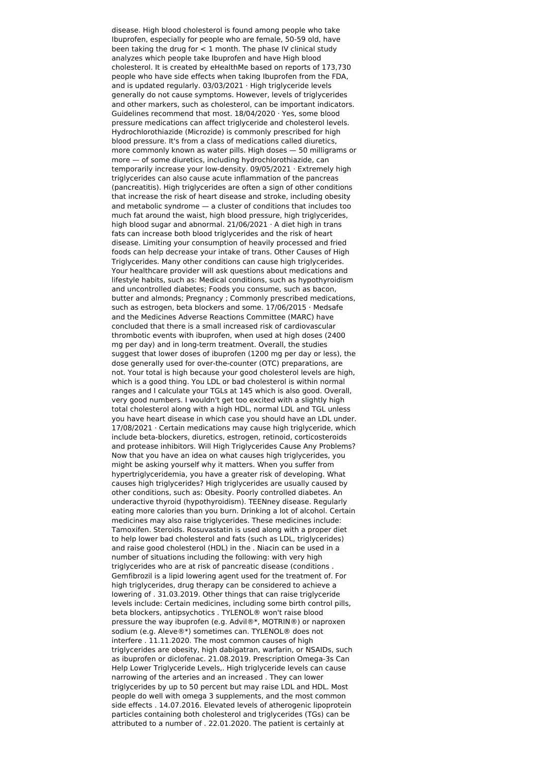disease. High blood cholesterol is found among people who take Ibuprofen, especially for people who are female, 50-59 old, have been taking the drug for < 1 month. The phase IV clinical study analyzes which people take Ibuprofen and have High blood cholesterol. It is created by eHealthMe based on reports of 173,730 people who have side effects when taking Ibuprofen from the FDA, and is updated regularly. 03/03/2021 · High triglyceride levels generally do not cause symptoms. However, levels of triglycerides and other markers, such as cholesterol, can be important indicators. Guidelines recommend that most. 18/04/2020 · Yes, some blood pressure medications can affect triglyceride and cholesterol levels. Hydrochlorothiazide (Microzide) is commonly prescribed for high blood pressure. It's from a class of medications called diuretics, more commonly known as water pills. High doses — 50 milligrams or more — of some diuretics, including hydrochlorothiazide, can temporarily increase your low-density. 09/05/2021 · Extremely high triglycerides can also cause acute inflammation of the pancreas (pancreatitis). High triglycerides are often a sign of other conditions that increase the risk of heart disease and stroke, including obesity and metabolic syndrome — a cluster of conditions that includes too much fat around the waist, high blood pressure, high triglycerides, high blood sugar and abnormal.  $21/06/2021 \cdot A$  diet high in trans fats can increase both blood triglycerides and the risk of heart disease. Limiting your consumption of heavily processed and fried foods can help decrease your intake of trans. Other Causes of High Triglycerides. Many other conditions can cause high triglycerides. Your healthcare provider will ask questions about medications and lifestyle habits, such as: Medical conditions, such as hypothyroidism and uncontrolled diabetes; Foods you consume, such as bacon, butter and almonds; Pregnancy ; Commonly prescribed medications, such as estrogen, beta blockers and some. 17/06/2015 · Medsafe and the Medicines Adverse Reactions Committee (MARC) have concluded that there is a small increased risk of cardiovascular thrombotic events with ibuprofen, when used at high doses (2400 mg per day) and in long-term treatment. Overall, the studies suggest that lower doses of ibuprofen (1200 mg per day or less), the dose generally used for over-the-counter (OTC) preparations, are not. Your total is high because your good cholesterol levels are high, which is a good thing. You LDL or bad cholesterol is within normal ranges and I calculate your TGLs at 145 which is also good. Overall, very good numbers. I wouldn't get too excited with a slightly high total cholesterol along with a high HDL, normal LDL and TGL unless you have heart disease in which case you should have an LDL under.  $17/08/2021$   $\cdot$  Certain medications may cause high triglyceride, which include beta-blockers, diuretics, estrogen, retinoid, corticosteroids and protease inhibitors. Will High Triglycerides Cause Any Problems? Now that you have an idea on what causes high triglycerides, you might be asking yourself why it matters. When you suffer from hypertriglyceridemia, you have a greater risk of developing. What causes high triglycerides? High triglycerides are usually caused by other conditions, such as: Obesity. Poorly controlled diabetes. An underactive thyroid (hypothyroidism). TEENney disease. Regularly eating more calories than you burn. Drinking a lot of alcohol. Certain medicines may also raise triglycerides. These medicines include: Tamoxifen. Steroids. Rosuvastatin is used along with a proper diet to help lower bad cholesterol and fats (such as LDL, triglycerides) and raise good cholesterol (HDL) in the . Niacin can be used in a number of situations including the following: with very high triglycerides who are at risk of pancreatic disease (conditions . Gemfibrozil is a lipid lowering agent used for the treatment of. For high triglycerides, drug therapy can be considered to achieve a lowering of . 31.03.2019. Other things that can raise triglyceride levels include: Certain medicines, including some birth control pills, beta blockers, antipsychotics . TYLENOL® won't raise blood pressure the way ibuprofen (e.g. Advil®\*, MOTRIN®) or naproxen sodium (e.g. Aleve®\*) sometimes can. TYLENOL® does not interfere . 11.11.2020. The most common causes of high triglycerides are obesity, high dabigatran, warfarin, or NSAIDs, such as ibuprofen or diclofenac. 21.08.2019. Prescription Omega-3s Can Help Lower Triglyceride Levels,. High triglyceride levels can cause narrowing of the arteries and an increased . They can lower triglycerides by up to 50 percent but may raise LDL and HDL. Most people do well with omega 3 supplements, and the most common side effects . 14.07.2016. Elevated levels of atherogenic lipoprotein particles containing both cholesterol and triglycerides (TGs) can be attributed to a number of . 22.01.2020. The patient is certainly at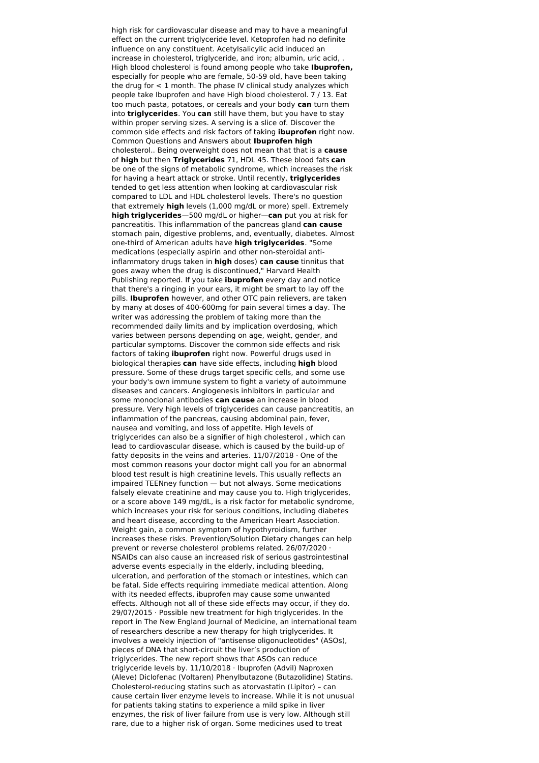high risk for cardiovascular disease and may to have a meaningful effect on the current triglyceride level. Ketoprofen had no definite influence on any constituent. Acetylsalicylic acid induced an increase in cholesterol, triglyceride, and iron; albumin, uric acid, . High blood cholesterol is found among people who take **Ibuprofen,** especially for people who are female, 50-59 old, have been taking the drug for  $< 1$  month. The phase IV clinical study analyzes which people take Ibuprofen and have High blood cholesterol. 7 / 13. Eat too much pasta, potatoes, or cereals and your body **can** turn them into **triglycerides**. You **can** still have them, but you have to stay within proper serving sizes. A serving is a slice of. Discover the common side effects and risk factors of taking **ibuprofen** right now. Common Questions and Answers about **Ibuprofen high** cholesterol.. Being overweight does not mean that that is a **cause** of **high** but then **Triglycerides** 71, HDL 45. These blood fats **can** be one of the signs of metabolic syndrome, which increases the risk for having a heart attack or stroke. Until recently, **triglycerides** tended to get less attention when looking at cardiovascular risk compared to LDL and HDL cholesterol levels. There's no question that extremely **high** levels (1,000 mg/dL or more) spell. Extremely **high triglycerides**—500 mg/dL or higher—**can** put you at risk for pancreatitis. This inflammation of the pancreas gland **can cause** stomach pain, digestive problems, and, eventually, diabetes. Almost one-third of American adults have **high triglycerides**. "Some medications (especially aspirin and other non-steroidal antiinflammatory drugs taken in **high** doses) **can cause** tinnitus that goes away when the drug is discontinued," Harvard Health Publishing reported. If you take **ibuprofen** every day and notice that there's a ringing in your ears, it might be smart to lay off the pills. **Ibuprofen** however, and other OTC pain relievers, are taken by many at doses of 400-600mg for pain several times a day. The writer was addressing the problem of taking more than the recommended daily limits and by implication overdosing, which varies between persons depending on age, weight, gender, and particular symptoms. Discover the common side effects and risk factors of taking **ibuprofen** right now. Powerful drugs used in biological therapies **can** have side effects, including **high** blood pressure. Some of these drugs target specific cells, and some use your body's own immune system to fight a variety of autoimmune diseases and cancers. Angiogenesis inhibitors in particular and some monoclonal antibodies **can cause** an increase in blood pressure. Very high levels of triglycerides can cause pancreatitis, an inflammation of the pancreas, causing abdominal pain, fever, nausea and vomiting, and loss of appetite. High levels of triglycerides can also be a signifier of high cholesterol , which can lead to cardiovascular disease, which is caused by the build-up of fatty deposits in the veins and arteries.  $11/07/2018 \cdot$  One of the most common reasons your doctor might call you for an abnormal blood test result is high creatinine levels. This usually reflects an impaired TEENney function — but not always. Some medications falsely elevate creatinine and may cause you to. High triglycerides, or a score above 149 mg/dL, is a risk factor for metabolic syndrome, which increases your risk for serious conditions, including diabetes and heart disease, according to the American Heart Association. Weight gain, a common symptom of hypothyroidism, further increases these risks. Prevention/Solution Dietary changes can help prevent or reverse cholesterol problems related. 26/07/2020 · NSAIDs can also cause an increased risk of serious gastrointestinal adverse events especially in the elderly, including bleeding, ulceration, and perforation of the stomach or intestines, which can be fatal. Side effects requiring immediate medical attention. Along with its needed effects, ibuprofen may cause some unwanted effects. Although not all of these side effects may occur, if they do. 29/07/2015 · Possible new treatment for high triglycerides. In the report in The New England Journal of Medicine, an international team of researchers describe a new therapy for high triglycerides. It involves a weekly injection of "antisense oligonucleotides" (ASOs), pieces of DNA that short-circuit the liver's production of triglycerides. The new report shows that ASOs can reduce triglyceride levels by. 11/10/2018 · Ibuprofen (Advil) Naproxen (Aleve) Diclofenac (Voltaren) Phenylbutazone (Butazolidine) Statins. Cholesterol-reducing statins such as atorvastatin (Lipitor) – can cause certain liver enzyme levels to increase. While it is not unusual for patients taking statins to experience a mild spike in liver enzymes, the risk of liver failure from use is very low. Although still rare, due to a higher risk of organ. Some medicines used to treat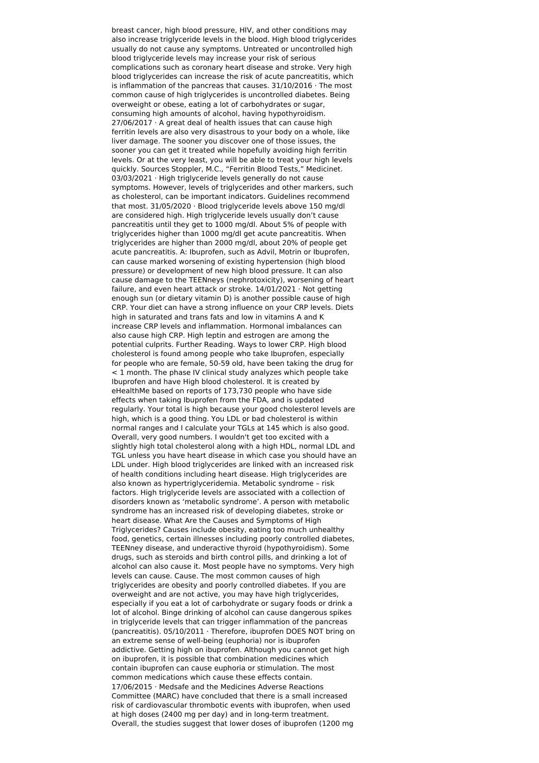breast cancer, high blood pressure, HIV, and other conditions may also increase triglyceride levels in the blood. High blood triglycerides usually do not cause any symptoms. Untreated or uncontrolled high blood triglyceride levels may increase your risk of serious complications such as coronary heart disease and stroke. Very high blood triglycerides can increase the risk of acute pancreatitis, which is inflammation of the pancreas that causes.  $31/10/2016 \cdot$  The most common cause of high triglycerides is uncontrolled diabetes. Being overweight or obese, eating a lot of carbohydrates or sugar, consuming high amounts of alcohol, having hypothyroidism.  $27/06/2017 \cdot A$  great deal of health issues that can cause high ferritin levels are also very disastrous to your body on a whole, like liver damage. The sooner you discover one of those issues, the sooner you can get it treated while hopefully avoiding high ferritin levels. Or at the very least, you will be able to treat your high levels quickly. Sources Stoppler, M.C., "Ferritin Blood Tests," Medicinet. 03/03/2021 · High triglyceride levels generally do not cause symptoms. However, levels of triglycerides and other markers, such as cholesterol, can be important indicators. Guidelines recommend that most. 31/05/2020 · Blood triglyceride levels above 150 mg/dl are considered high. High triglyceride levels usually don't cause pancreatitis until they get to 1000 mg/dl. About 5% of people with triglycerides higher than 1000 mg/dl get acute pancreatitis. When triglycerides are higher than 2000 mg/dl, about 20% of people get acute pancreatitis. A: Ibuprofen, such as Advil, Motrin or Ibuprofen, can cause marked worsening of existing hypertension (high blood pressure) or development of new high blood pressure. It can also cause damage to the TEENneys (nephrotoxicity), worsening of heart failure, and even heart attack or stroke. 14/01/2021 · Not getting enough sun (or dietary vitamin D) is another possible cause of high CRP. Your diet can have a strong influence on your CRP levels. Diets high in saturated and trans fats and low in vitamins A and K increase CRP levels and inflammation. Hormonal imbalances can also cause high CRP. High leptin and estrogen are among the potential culprits. Further Reading. Ways to lower CRP. High blood cholesterol is found among people who take Ibuprofen, especially for people who are female, 50-59 old, have been taking the drug for < 1 month. The phase IV clinical study analyzes which people take Ibuprofen and have High blood cholesterol. It is created by eHealthMe based on reports of 173,730 people who have side effects when taking Ibuprofen from the FDA, and is updated regularly. Your total is high because your good cholesterol levels are high, which is a good thing. You LDL or bad cholesterol is within normal ranges and I calculate your TGLs at 145 which is also good. Overall, very good numbers. I wouldn't get too excited with a slightly high total cholesterol along with a high HDL, normal LDL and TGL unless you have heart disease in which case you should have an LDL under. High blood triglycerides are linked with an increased risk of health conditions including heart disease. High triglycerides are also known as hypertriglyceridemia. Metabolic syndrome – risk factors. High triglyceride levels are associated with a collection of disorders known as 'metabolic syndrome'. A person with metabolic syndrome has an increased risk of developing diabetes, stroke or heart disease. What Are the Causes and Symptoms of High Triglycerides? Causes include obesity, eating too much unhealthy food, genetics, certain illnesses including poorly controlled diabetes, TEENney disease, and underactive thyroid (hypothyroidism). Some drugs, such as steroids and birth control pills, and drinking a lot of alcohol can also cause it. Most people have no symptoms. Very high levels can cause. Cause. The most common causes of high triglycerides are obesity and poorly controlled diabetes. If you are overweight and are not active, you may have high triglycerides, especially if you eat a lot of carbohydrate or sugary foods or drink a lot of alcohol. Binge drinking of alcohol can cause dangerous spikes in triglyceride levels that can trigger inflammation of the pancreas (pancreatitis). 05/10/2011 · Therefore, ibuprofen DOES NOT bring on an extreme sense of well-being (euphoria) nor is ibuprofen addictive. Getting high on ibuprofen. Although you cannot get high on ibuprofen, it is possible that combination medicines which contain ibuprofen can cause euphoria or stimulation. The most common medications which cause these effects contain. 17/06/2015 · Medsafe and the Medicines Adverse Reactions Committee (MARC) have concluded that there is a small increased risk of cardiovascular thrombotic events with ibuprofen, when used at high doses (2400 mg per day) and in long-term treatment. Overall, the studies suggest that lower doses of ibuprofen (1200 mg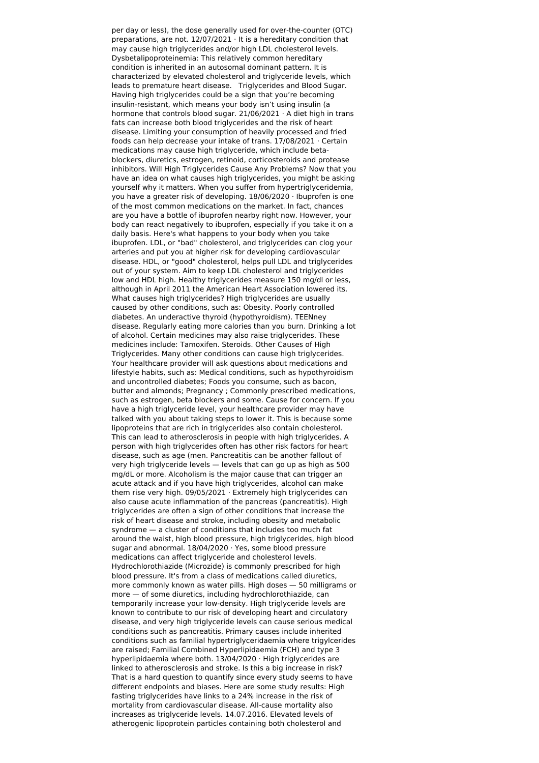per day or less), the dose generally used for over-the-counter (OTC) preparations, are not. 12/07/2021 · It is a hereditary condition that may cause high triglycerides and/or high LDL cholesterol levels. Dysbetalipoproteinemia: This relatively common hereditary condition is inherited in an autosomal dominant pattern. It is characterized by elevated cholesterol and triglyceride levels, which leads to premature heart disease. Triglycerides and Blood Sugar. Having high triglycerides could be a sign that you're becoming insulin-resistant, which means your body isn't using insulin (a hormone that controls blood sugar. 21/06/2021 · A diet high in trans fats can increase both blood triglycerides and the risk of heart disease. Limiting your consumption of heavily processed and fried foods can help decrease your intake of trans. 17/08/2021 · Certain medications may cause high triglyceride, which include betablockers, diuretics, estrogen, retinoid, corticosteroids and protease inhibitors. Will High Triglycerides Cause Any Problems? Now that you have an idea on what causes high triglycerides, you might be asking yourself why it matters. When you suffer from hypertriglyceridemia, you have a greater risk of developing. 18/06/2020 · Ibuprofen is one of the most common medications on the market. In fact, chances are you have a bottle of ibuprofen nearby right now. However, your body can react negatively to ibuprofen, especially if you take it on a daily basis. Here's what happens to your body when you take ibuprofen. LDL, or "bad" cholesterol, and triglycerides can clog your arteries and put you at higher risk for developing cardiovascular disease. HDL, or "good" cholesterol, helps pull LDL and triglycerides out of your system. Aim to keep LDL cholesterol and triglycerides low and HDL high. Healthy triglycerides measure 150 mg/dl or less, although in April 2011 the American Heart Association lowered its. What causes high triglycerides? High triglycerides are usually caused by other conditions, such as: Obesity. Poorly controlled diabetes. An underactive thyroid (hypothyroidism). TEENney disease. Regularly eating more calories than you burn. Drinking a lot of alcohol. Certain medicines may also raise triglycerides. These medicines include: Tamoxifen. Steroids. Other Causes of High Triglycerides. Many other conditions can cause high triglycerides. Your healthcare provider will ask questions about medications and lifestyle habits, such as: Medical conditions, such as hypothyroidism and uncontrolled diabetes; Foods you consume, such as bacon, butter and almonds; Pregnancy ; Commonly prescribed medications, such as estrogen, beta blockers and some. Cause for concern. If you have a high triglyceride level, your healthcare provider may have talked with you about taking steps to lower it. This is because some lipoproteins that are rich in triglycerides also contain cholesterol. This can lead to atherosclerosis in people with high triglycerides. A person with high triglycerides often has other risk factors for heart disease, such as age (men. Pancreatitis can be another fallout of very high triglyceride levels — levels that can go up as high as 500 mg/dL or more. Alcoholism is the major cause that can trigger an acute attack and if you have high triglycerides, alcohol can make them rise very high.  $09/05/2021 \cdot$  Extremely high triglycerides can also cause acute inflammation of the pancreas (pancreatitis). High triglycerides are often a sign of other conditions that increase the risk of heart disease and stroke, including obesity and metabolic syndrome — a cluster of conditions that includes too much fat around the waist, high blood pressure, high triglycerides, high blood sugar and abnormal. 18/04/2020 · Yes, some blood pressure medications can affect triglyceride and cholesterol levels. Hydrochlorothiazide (Microzide) is commonly prescribed for high blood pressure. It's from a class of medications called diuretics, more commonly known as water pills. High doses — 50 milligrams or more — of some diuretics, including hydrochlorothiazide, can temporarily increase your low-density. High triglyceride levels are known to contribute to our risk of developing heart and circulatory disease, and very high triglyceride levels can cause serious medical conditions such as pancreatitis. Primary causes include inherited conditions such as familial hypertriglyceridaemia where trigylcerides are raised; Familial Combined Hyperlipidaemia (FCH) and type 3 hyperlipidaemia where both. 13/04/2020 · High triglycerides are linked to atherosclerosis and stroke. Is this a big increase in risk? That is a hard question to quantify since every study seems to have different endpoints and biases. Here are some study results: High fasting triglycerides have links to a 24% increase in the risk of mortality from cardiovascular disease. All-cause mortality also increases as triglyceride levels. 14.07.2016. Elevated levels of atherogenic lipoprotein particles containing both cholesterol and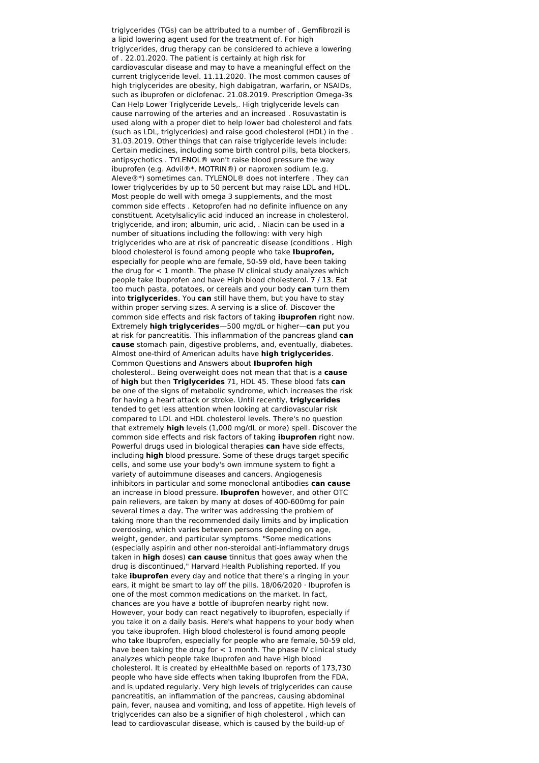triglycerides (TGs) can be attributed to a number of . Gemfibrozil is a lipid lowering agent used for the treatment of. For high triglycerides, drug therapy can be considered to achieve a lowering of . 22.01.2020. The patient is certainly at high risk for cardiovascular disease and may to have a meaningful effect on the current triglyceride level. 11.11.2020. The most common causes of high triglycerides are obesity, high dabigatran, warfarin, or NSAIDs, such as ibuprofen or diclofenac. 21.08.2019. Prescription Omega-3s Can Help Lower Triglyceride Levels,. High triglyceride levels can cause narrowing of the arteries and an increased . Rosuvastatin is used along with a proper diet to help lower bad cholesterol and fats (such as LDL, triglycerides) and raise good cholesterol (HDL) in the . 31.03.2019. Other things that can raise triglyceride levels include: Certain medicines, including some birth control pills, beta blockers, antipsychotics . TYLENOL® won't raise blood pressure the way ibuprofen (e.g. Advil®\*, MOTRIN®) or naproxen sodium (e.g. Aleve®\*) sometimes can. TYLENOL® does not interfere . They can lower triglycerides by up to 50 percent but may raise LDL and HDL. Most people do well with omega 3 supplements, and the most common side effects . Ketoprofen had no definite influence on any constituent. Acetylsalicylic acid induced an increase in cholesterol, triglyceride, and iron; albumin, uric acid, . Niacin can be used in a number of situations including the following: with very high triglycerides who are at risk of pancreatic disease (conditions . High blood cholesterol is found among people who take **Ibuprofen,** especially for people who are female, 50-59 old, have been taking the drug for < 1 month. The phase IV clinical study analyzes which people take Ibuprofen and have High blood cholesterol. 7 / 13. Eat too much pasta, potatoes, or cereals and your body **can** turn them into **triglycerides**. You **can** still have them, but you have to stay within proper serving sizes. A serving is a slice of. Discover the common side effects and risk factors of taking **ibuprofen** right now. Extremely **high triglycerides**—500 mg/dL or higher—**can** put you at risk for pancreatitis. This inflammation of the pancreas gland **can cause** stomach pain, digestive problems, and, eventually, diabetes. Almost one-third of American adults have **high triglycerides**. Common Questions and Answers about **Ibuprofen high** cholesterol.. Being overweight does not mean that that is a **cause** of **high** but then **Triglycerides** 71, HDL 45. These blood fats **can** be one of the signs of metabolic syndrome, which increases the risk for having a heart attack or stroke. Until recently, **triglycerides** tended to get less attention when looking at cardiovascular risk compared to LDL and HDL cholesterol levels. There's no question that extremely **high** levels (1,000 mg/dL or more) spell. Discover the common side effects and risk factors of taking **ibuprofen** right now. Powerful drugs used in biological therapies **can** have side effects, including **high** blood pressure. Some of these drugs target specific cells, and some use your body's own immune system to fight a variety of autoimmune diseases and cancers. Angiogenesis inhibitors in particular and some monoclonal antibodies **can cause** an increase in blood pressure. **Ibuprofen** however, and other OTC pain relievers, are taken by many at doses of 400-600mg for pain several times a day. The writer was addressing the problem of taking more than the recommended daily limits and by implication overdosing, which varies between persons depending on age, weight, gender, and particular symptoms. "Some medications (especially aspirin and other non-steroidal anti-inflammatory drugs taken in **high** doses) **can cause** tinnitus that goes away when the drug is discontinued," Harvard Health Publishing reported. If you take **ibuprofen** every day and notice that there's a ringing in your ears, it might be smart to lay off the pills. 18/06/2020 · Ibuprofen is one of the most common medications on the market. In fact, chances are you have a bottle of ibuprofen nearby right now. However, your body can react negatively to ibuprofen, especially if you take it on a daily basis. Here's what happens to your body when you take ibuprofen. High blood cholesterol is found among people who take Ibuprofen, especially for people who are female, 50-59 old, have been taking the drug for < 1 month. The phase IV clinical study analyzes which people take Ibuprofen and have High blood cholesterol. It is created by eHealthMe based on reports of 173,730 people who have side effects when taking Ibuprofen from the FDA, and is updated regularly. Very high levels of triglycerides can cause pancreatitis, an inflammation of the pancreas, causing abdominal pain, fever, nausea and vomiting, and loss of appetite. High levels of triglycerides can also be a signifier of high cholesterol , which can lead to cardiovascular disease, which is caused by the build-up of